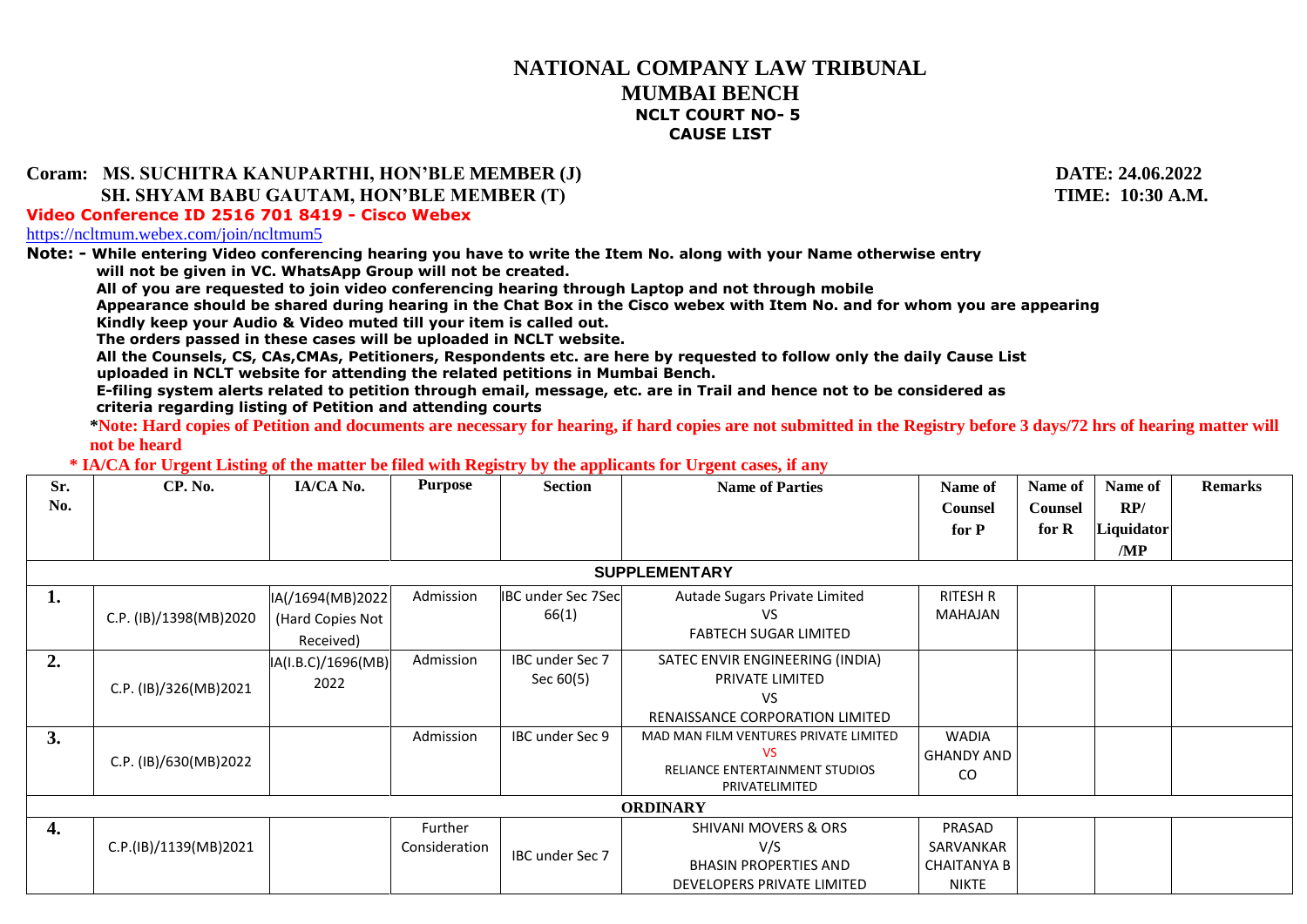## **NATIONAL COMPANY LAW TRIBUNAL MUMBAI BENCH NCLT COURT NO- 5 CAUSE LIST**

## **Coram: MS. SUCHITRA KANUPARTHI, HON'BLE MEMBER (J) DATE: 24.06.2022**

**SH. SHYAM BABU GAUTAM, HON'BLE MEMBER (T) TIME: 10:30 A.M.** 

**Video Conference ID 2516 701 8419 - Cisco Webex**

<https://ncltmum.webex.com/join/ncltmum5>

**Note: - While entering Video conferencing hearing you have to write the Item No. along with your Name otherwise entry**

**will not be given in VC. WhatsApp Group will not be created.** 

**All of you are requested to join video conferencing hearing through Laptop and not through mobile**

**Appearance should be shared during hearing in the Chat Box in the Cisco webex with Item No. and for whom you are appearing Kindly keep your Audio & Video muted till your item is called out.**

**The orders passed in these cases will be uploaded in NCLT website.**

**All the Counsels, CS, CAs,CMAs, Petitioners, Respondents etc. are here by requested to follow only the daily Cause List uploaded in NCLT website for attending the related petitions in Mumbai Bench.**

**E-filing system alerts related to petition through email, message, etc. are in Trail and hence not to be considered as criteria regarding listing of Petition and attending courts** 

**\*Note: Hard copies of Petition and documents are necessary for hearing, if hard copies are not submitted in the Registry before 3 days/72 hrs of hearing matter will not be heard**

 **\* IA/CA for Urgent Listing of the matter be filed with Registry by the applicants for Urgent cases, if any**

| Sr.<br>No. | CP. No.                | IA/CA No.          | Purpose       | <b>Section</b>            | <b>Name of Parties</b>                             | Name of<br><b>Counsel</b> | Name of<br><b>Counsel</b> | Name of<br>RP/ | <b>Remarks</b> |  |
|------------|------------------------|--------------------|---------------|---------------------------|----------------------------------------------------|---------------------------|---------------------------|----------------|----------------|--|
|            |                        |                    |               |                           |                                                    | for P                     | for $R$                   | Liquidator     |                |  |
|            |                        |                    |               |                           |                                                    |                           |                           | /MP            |                |  |
|            | <b>SUPPLEMENTARY</b>   |                    |               |                           |                                                    |                           |                           |                |                |  |
| 1.         |                        | IA(/1694(MB)2022   | Admission     | <b>IBC under Sec 7Sec</b> | Autade Sugars Private Limited                      | <b>RITESH R</b>           |                           |                |                |  |
|            | C.P. (IB)/1398(MB)2020 | (Hard Copies Not   |               | 66(1)                     | VS.                                                | MAHAJAN                   |                           |                |                |  |
|            |                        | Received)          |               |                           | FABTECH SUGAR LIMITED                              |                           |                           |                |                |  |
| 2.         |                        | IA(I.B.C)/1696(MB) | Admission     | IBC under Sec 7           | SATEC ENVIR ENGINEERING (INDIA)                    |                           |                           |                |                |  |
|            | C.P. (IB)/326(MB)2021  | 2022               |               | Sec 60(5)                 | PRIVATE LIMITED                                    |                           |                           |                |                |  |
|            |                        |                    |               |                           | <b>VS</b>                                          |                           |                           |                |                |  |
|            |                        |                    |               |                           | RENAISSANCE CORPORATION LIMITED                    |                           |                           |                |                |  |
| 3.         |                        |                    | Admission     | IBC under Sec 9           | MAD MAN FILM VENTURES PRIVATE LIMITED              | <b>WADIA</b>              |                           |                |                |  |
|            | C.P. (IB)/630(MB)2022  |                    |               |                           | <b>VS</b><br><b>RELIANCE ENTERTAINMENT STUDIOS</b> | GHANDY AND                |                           |                |                |  |
|            |                        |                    |               |                           | PRIVATELIMITED                                     | CO                        |                           |                |                |  |
|            | <b>ORDINARY</b>        |                    |               |                           |                                                    |                           |                           |                |                |  |
| 4.         |                        |                    | Further       |                           | <b>SHIVANI MOVERS &amp; ORS</b>                    | PRASAD                    |                           |                |                |  |
|            | C.P.(IB)/1139(MB)2021  |                    | Consideration | <b>IBC</b> under Sec 7    | V/S                                                | SARVANKAR                 |                           |                |                |  |
|            |                        |                    |               |                           | <b>BHASIN PROPERTIES AND</b>                       | <b>CHAITANYA B</b>        |                           |                |                |  |
|            |                        |                    |               |                           | DEVELOPERS PRIVATE LIMITED                         | <b>NIKTE</b>              |                           |                |                |  |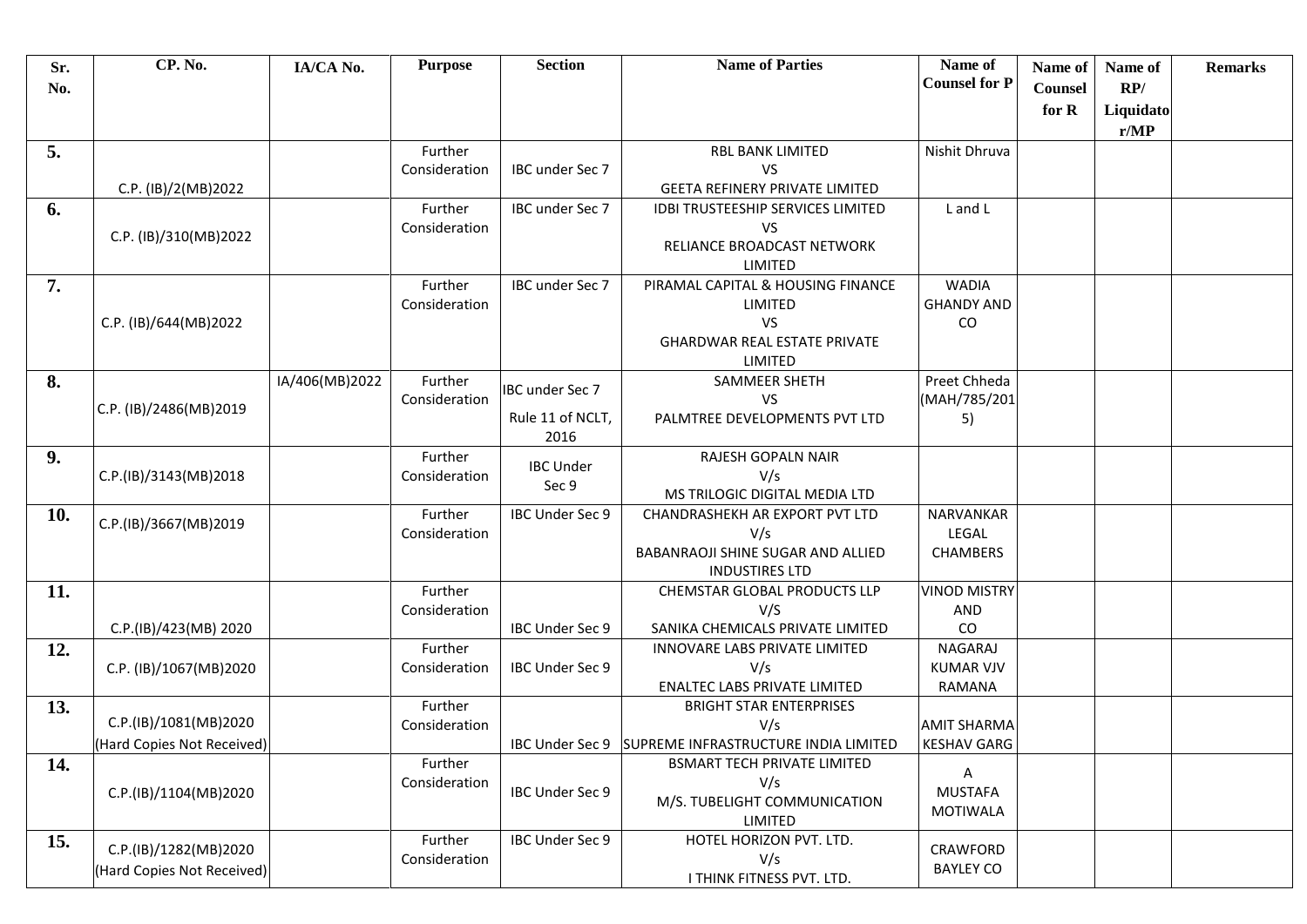| Sr.<br>No. | CP. No.                    | IA/CA No.      | <b>Purpose</b>           | <b>Section</b>         | <b>Name of Parties</b>                                     | Name of<br><b>Counsel for P</b> | Name of<br><b>Counsel</b> | Name of<br>RP/    | <b>Remarks</b> |
|------------|----------------------------|----------------|--------------------------|------------------------|------------------------------------------------------------|---------------------------------|---------------------------|-------------------|----------------|
|            |                            |                |                          |                        |                                                            |                                 | for R                     | Liquidato<br>r/MP |                |
| 5.         |                            |                | Further                  |                        | <b>RBL BANK LIMITED</b>                                    | Nishit Dhruva                   |                           |                   |                |
|            |                            |                | Consideration            | IBC under Sec 7        | VS                                                         |                                 |                           |                   |                |
|            | C.P. (IB)/2(MB)2022        |                |                          |                        | <b>GEETA REFINERY PRIVATE LIMITED</b>                      |                                 |                           |                   |                |
| 6.         |                            |                | Further                  | IBC under Sec 7        | <b>IDBI TRUSTEESHIP SERVICES LIMITED</b>                   | L and L                         |                           |                   |                |
|            | C.P. (IB)/310(MB)2022      |                | Consideration            |                        | VS                                                         |                                 |                           |                   |                |
|            |                            |                |                          |                        | RELIANCE BROADCAST NETWORK                                 |                                 |                           |                   |                |
|            |                            |                |                          |                        | LIMITED                                                    |                                 |                           |                   |                |
| 7.         |                            |                | Further                  | IBC under Sec 7        | PIRAMAL CAPITAL & HOUSING FINANCE                          | <b>WADIA</b>                    |                           |                   |                |
|            |                            |                | Consideration            |                        | LIMITED<br>VS                                              | <b>GHANDY AND</b><br>CO         |                           |                   |                |
|            | C.P. (IB)/644(MB)2022      |                |                          |                        | <b>GHARDWAR REAL ESTATE PRIVATE</b>                        |                                 |                           |                   |                |
|            |                            |                |                          |                        | LIMITED                                                    |                                 |                           |                   |                |
| 8.         |                            | IA/406(MB)2022 | Further                  |                        | <b>SAMMEER SHETH</b>                                       | Preet Chheda                    |                           |                   |                |
|            |                            |                | Consideration            | <b>IBC</b> under Sec 7 | <b>VS</b>                                                  | (MAH/785/201                    |                           |                   |                |
|            | C.P. (IB)/2486(MB)2019     |                |                          | Rule 11 of NCLT,       | PALMTREE DEVELOPMENTS PVT LTD                              | 5)                              |                           |                   |                |
|            |                            |                |                          | 2016                   |                                                            |                                 |                           |                   |                |
| 9.         |                            |                | Further                  | <b>IBC Under</b>       | RAJESH GOPALN NAIR                                         |                                 |                           |                   |                |
|            | C.P.(IB)/3143(MB)2018      |                | Consideration            | Sec 9                  | V/s                                                        |                                 |                           |                   |                |
|            |                            |                |                          |                        | MS TRILOGIC DIGITAL MEDIA LTD                              |                                 |                           |                   |                |
| 10.        | C.P.(IB)/3667(MB)2019      |                | Further                  | IBC Under Sec 9        | CHANDRASHEKH AR EXPORT PVT LTD                             | NARVANKAR                       |                           |                   |                |
|            |                            |                | Consideration            |                        | V/s                                                        | LEGAL                           |                           |                   |                |
|            |                            |                |                          |                        | BABANRAOJI SHINE SUGAR AND ALLIED<br><b>INDUSTIRES LTD</b> | <b>CHAMBERS</b>                 |                           |                   |                |
| 11.        |                            |                | Further                  |                        | CHEMSTAR GLOBAL PRODUCTS LLP                               | <b>VINOD MISTRY</b>             |                           |                   |                |
|            |                            |                | Consideration            |                        | V/S                                                        | AND                             |                           |                   |                |
|            | C.P.(IB)/423(MB) 2020      |                |                          | IBC Under Sec 9        | SANIKA CHEMICALS PRIVATE LIMITED                           | CO                              |                           |                   |                |
| 12.        |                            |                | Further                  |                        | INNOVARE LABS PRIVATE LIMITED                              | NAGARAJ                         |                           |                   |                |
|            | C.P. (IB)/1067(MB)2020     |                | Consideration            | IBC Under Sec 9        | V/s                                                        | <b>KUMAR VJV</b>                |                           |                   |                |
|            |                            |                |                          |                        | <b>ENALTEC LABS PRIVATE LIMITED</b>                        | RAMANA                          |                           |                   |                |
| 13.        |                            |                | Further                  |                        | <b>BRIGHT STAR ENTERPRISES</b>                             |                                 |                           |                   |                |
|            | C.P.(IB)/1081(MB)2020      |                | Consideration            |                        | V/s                                                        | <b>AMIT SHARMA</b>              |                           |                   |                |
|            | (Hard Copies Not Received) |                |                          |                        | IBC Under Sec 9 SUPREME INFRASTRUCTURE INDIA LIMITED       | <b>KESHAV GARG</b>              |                           |                   |                |
| 14.        |                            |                | Further                  |                        | <b>BSMART TECH PRIVATE LIMITED</b>                         | Α                               |                           |                   |                |
|            | C.P.(IB)/1104(MB)2020      |                | Consideration            | IBC Under Sec 9        | V/s                                                        | <b>MUSTAFA</b>                  |                           |                   |                |
|            |                            |                |                          |                        | M/S. TUBELIGHT COMMUNICATION                               | <b>MOTIWALA</b>                 |                           |                   |                |
|            |                            |                |                          | IBC Under Sec 9        | LIMITED<br>HOTEL HORIZON PVT. LTD.                         |                                 |                           |                   |                |
| 15.        | C.P.(IB)/1282(MB)2020      |                | Further<br>Consideration |                        | V/s                                                        | CRAWFORD                        |                           |                   |                |
|            | (Hard Copies Not Received) |                |                          |                        | I THINK FITNESS PVT. LTD.                                  | <b>BAYLEY CO</b>                |                           |                   |                |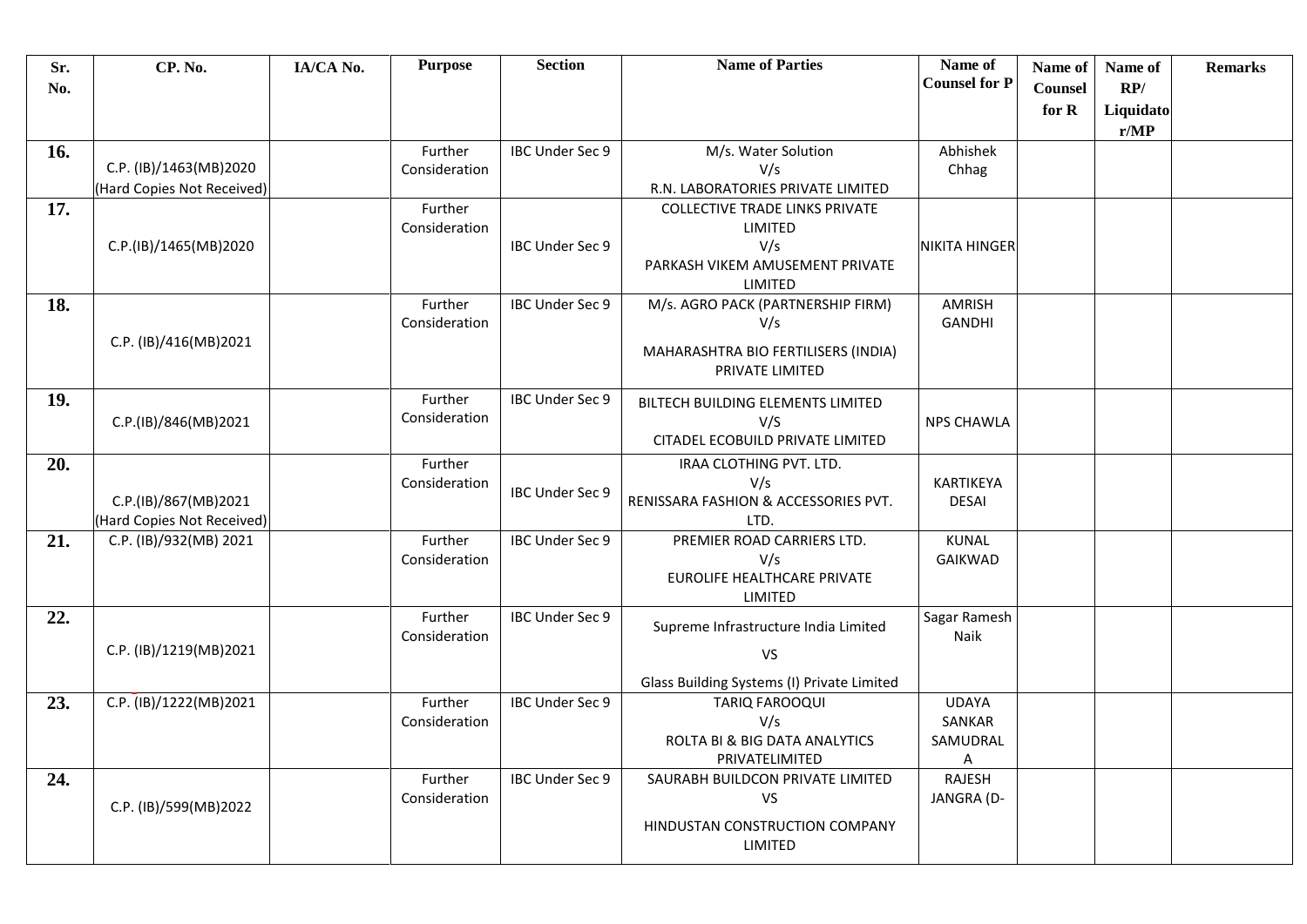| Sr.<br>No. | <b>CP. No.</b>                                       | IA/CA No. | <b>Purpose</b>           | <b>Section</b>         | <b>Name of Parties</b>                                                                                | Name of<br><b>Counsel for P</b>         | Name of<br>Counsel | Name of<br>RP/    | <b>Remarks</b> |
|------------|------------------------------------------------------|-----------|--------------------------|------------------------|-------------------------------------------------------------------------------------------------------|-----------------------------------------|--------------------|-------------------|----------------|
|            |                                                      |           |                          |                        |                                                                                                       |                                         | for R              | Liquidato<br>r/MP |                |
| 16.        | C.P. (IB)/1463(MB)2020<br>(Hard Copies Not Received) |           | Further<br>Consideration | IBC Under Sec 9        | M/s. Water Solution<br>V/s<br>R.N. LABORATORIES PRIVATE LIMITED                                       | Abhishek<br>Chhag                       |                    |                   |                |
| 17.        | C.P.(IB)/1465(MB)2020                                |           | Further<br>Consideration | IBC Under Sec 9        | <b>COLLECTIVE TRADE LINKS PRIVATE</b><br>LIMITED<br>V/s<br>PARKASH VIKEM AMUSEMENT PRIVATE<br>LIMITED | <b>NIKITA HINGER</b>                    |                    |                   |                |
| 18.        | C.P. (IB)/416(MB)2021                                |           | Further<br>Consideration | IBC Under Sec 9        | M/s. AGRO PACK (PARTNERSHIP FIRM)<br>V/s<br>MAHARASHTRA BIO FERTILISERS (INDIA)<br>PRIVATE LIMITED    | <b>AMRISH</b><br><b>GANDHI</b>          |                    |                   |                |
| 19.        | C.P.(IB)/846(MB)2021                                 |           | Further<br>Consideration | IBC Under Sec 9        | BILTECH BUILDING ELEMENTS LIMITED<br>V/S<br>CITADEL ECOBUILD PRIVATE LIMITED                          | <b>NPS CHAWLA</b>                       |                    |                   |                |
| 20.        | C.P.(IB)/867(MB)2021<br>(Hard Copies Not Received)   |           | Further<br>Consideration | IBC Under Sec 9        | IRAA CLOTHING PVT. LTD.<br>V/s<br>RENISSARA FASHION & ACCESSORIES PVT.<br>LTD.                        | KARTIKEYA<br><b>DESAI</b>               |                    |                   |                |
| 21.        | C.P. (IB)/932(MB) 2021                               |           | Further<br>Consideration | IBC Under Sec 9        | PREMIER ROAD CARRIERS LTD.<br>V/s<br>EUROLIFE HEALTHCARE PRIVATE<br>LIMITED                           | KUNAL<br><b>GAIKWAD</b>                 |                    |                   |                |
| 22.        | C.P. (IB)/1219(MB)2021                               |           | Further<br>Consideration | <b>IBC Under Sec 9</b> | Supreme Infrastructure India Limited<br><b>VS</b><br>Glass Building Systems (I) Private Limited       | Sagar Ramesh<br>Naik                    |                    |                   |                |
| 23.        | C.P. (IB)/1222(MB)2021                               |           | Further<br>Consideration | IBC Under Sec 9        | <b>TARIQ FAROOQUI</b><br>V/s<br>ROLTA BI & BIG DATA ANALYTICS<br>PRIVATELIMITED                       | <b>UDAYA</b><br>SANKAR<br>SAMUDRAL<br>A |                    |                   |                |
| 24.        | C.P. (IB)/599(MB)2022                                |           | Further<br>Consideration | IBC Under Sec 9        | SAURABH BUILDCON PRIVATE LIMITED<br><b>VS</b><br>HINDUSTAN CONSTRUCTION COMPANY<br>LIMITED            | RAJESH<br>JANGRA (D-                    |                    |                   |                |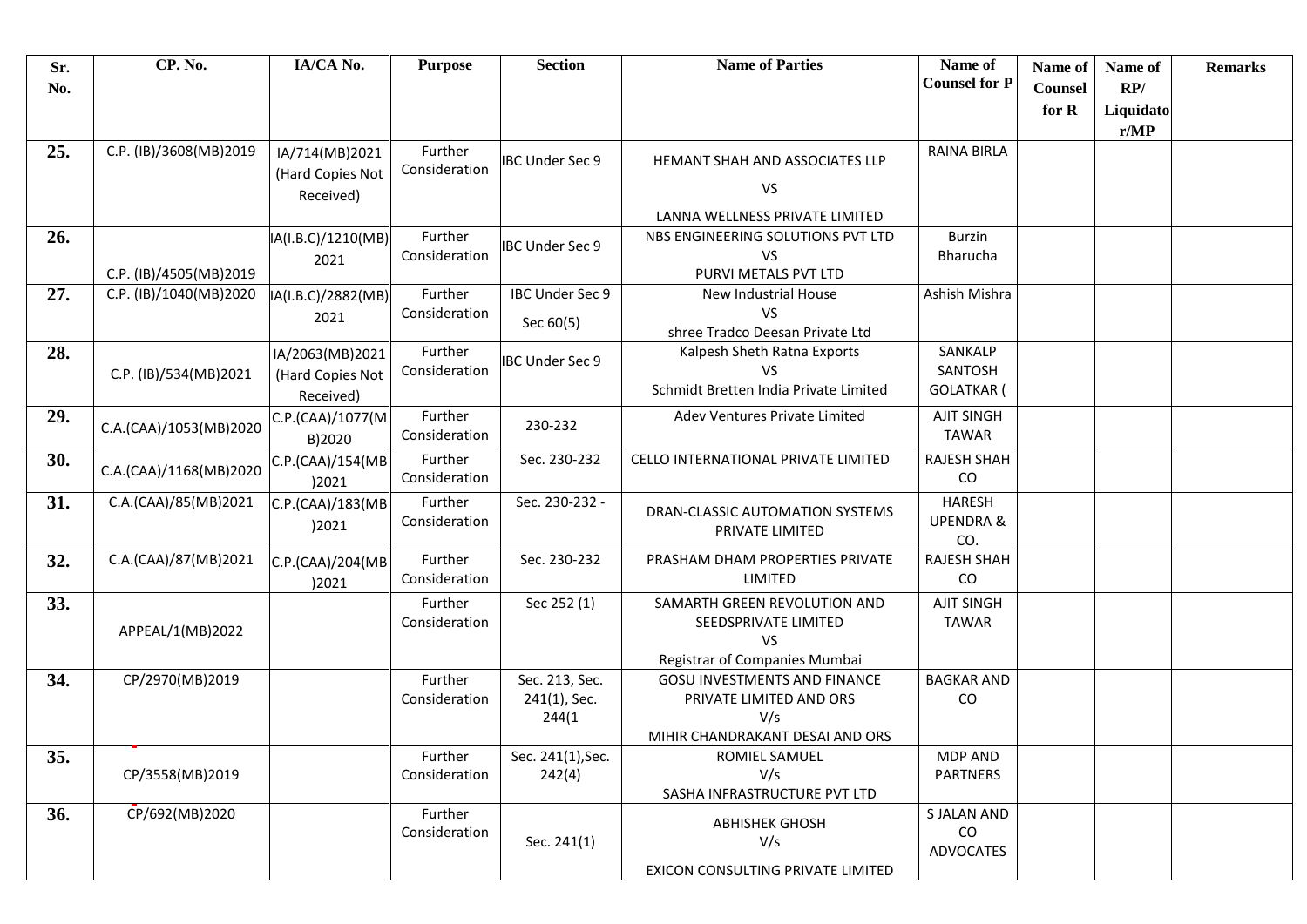| Sr. | CP. No.                | IA/CA No.          | <b>Purpose</b> | <b>Section</b>         | <b>Name of Parties</b>                | Name of                     | Name of        | Name of   | <b>Remarks</b> |
|-----|------------------------|--------------------|----------------|------------------------|---------------------------------------|-----------------------------|----------------|-----------|----------------|
| No. |                        |                    |                |                        |                                       | <b>Counsel for P</b>        | <b>Counsel</b> | RP/       |                |
|     |                        |                    |                |                        |                                       |                             | for R          | Liquidato |                |
|     |                        |                    |                |                        |                                       |                             |                | r/MP      |                |
| 25. | C.P. (IB)/3608(MB)2019 | IA/714(MB)2021     | Further        | <b>IBC Under Sec 9</b> | HEMANT SHAH AND ASSOCIATES LLP        | <b>RAINA BIRLA</b>          |                |           |                |
|     |                        | (Hard Copies Not   | Consideration  |                        | VS                                    |                             |                |           |                |
|     |                        | Received)          |                |                        |                                       |                             |                |           |                |
|     |                        |                    |                |                        | LANNA WELLNESS PRIVATE LIMITED        |                             |                |           |                |
| 26. |                        | IA(I.B.C)/1210(MB) | Further        | <b>IBC Under Sec 9</b> | NBS ENGINEERING SOLUTIONS PVT LTD     | <b>Burzin</b>               |                |           |                |
|     | C.P. (IB)/4505(MB)2019 | 2021               | Consideration  |                        | <b>VS</b><br>PURVI METALS PVT LTD     | <b>Bharucha</b>             |                |           |                |
| 27. | C.P. (IB)/1040(MB)2020 | IA(I.B.C)/2882(MB) | Further        | IBC Under Sec 9        | New Industrial House                  | Ashish Mishra               |                |           |                |
|     |                        | 2021               | Consideration  |                        | VS                                    |                             |                |           |                |
|     |                        |                    |                | Sec 60(5)              | shree Tradco Deesan Private Ltd       |                             |                |           |                |
| 28. |                        | IA/2063(MB)2021    | Further        | IBC Under Sec 9        | Kalpesh Sheth Ratna Exports           | SANKALP                     |                |           |                |
|     | C.P. (IB)/534(MB)2021  | (Hard Copies Not   | Consideration  |                        | <b>VS</b>                             | SANTOSH                     |                |           |                |
|     |                        | Received)          |                |                        | Schmidt Bretten India Private Limited | <b>GOLATKAR</b> (           |                |           |                |
| 29. | C.A.(CAA)/1053(MB)2020 | C.P.(CAA)/1077(M   | Further        | 230-232                | Adev Ventures Private Limited         | <b>AJIT SINGH</b>           |                |           |                |
|     |                        | B)2020             | Consideration  |                        |                                       | <b>TAWAR</b>                |                |           |                |
| 30. | C.A.(CAA)/1168(MB)2020 | C.P.(CAA)/154(MB   | Further        | Sec. 230-232           | CELLO INTERNATIONAL PRIVATE LIMITED   | <b>RAJESH SHAH</b>          |                |           |                |
|     |                        | )2021              | Consideration  |                        |                                       | CO                          |                |           |                |
| 31. | C.A.(CAA)/85(MB)2021   | C.P.(CAA)/183(MB   | Further        | Sec. 230-232 -         | DRAN-CLASSIC AUTOMATION SYSTEMS       | <b>HARESH</b>               |                |           |                |
|     |                        | )2021              | Consideration  |                        | PRIVATE LIMITED                       | <b>UPENDRA &amp;</b><br>CO. |                |           |                |
| 32. | C.A.(CAA)/87(MB)2021   | C.P.(CAA)/204(MB   | Further        | Sec. 230-232           | PRASHAM DHAM PROPERTIES PRIVATE       | <b>RAJESH SHAH</b>          |                |           |                |
|     |                        | )2021              | Consideration  |                        | LIMITED                               | CO                          |                |           |                |
| 33. |                        |                    | Further        | Sec 252 (1)            | SAMARTH GREEN REVOLUTION AND          | <b>AJIT SINGH</b>           |                |           |                |
|     |                        |                    | Consideration  |                        | SEEDSPRIVATE LIMITED                  | <b>TAWAR</b>                |                |           |                |
|     | APPEAL/1(MB)2022       |                    |                |                        | <b>VS</b>                             |                             |                |           |                |
|     |                        |                    |                |                        | Registrar of Companies Mumbai         |                             |                |           |                |
| 34. | CP/2970(MB)2019        |                    | Further        | Sec. 213, Sec.         | <b>GOSU INVESTMENTS AND FINANCE</b>   | <b>BAGKAR AND</b>           |                |           |                |
|     |                        |                    | Consideration  | 241(1), Sec.           | PRIVATE LIMITED AND ORS<br>V/s        | CO                          |                |           |                |
|     |                        |                    |                | 244(1)                 | MIHIR CHANDRAKANT DESAI AND ORS       |                             |                |           |                |
| 35. |                        |                    | Further        | Sec. 241(1), Sec.      | ROMIEL SAMUEL                         | <b>MDP AND</b>              |                |           |                |
|     | CP/3558(MB)2019        |                    | Consideration  | 242(4)                 | V/s                                   | <b>PARTNERS</b>             |                |           |                |
|     |                        |                    |                |                        | SASHA INFRASTRUCTURE PVT LTD          |                             |                |           |                |
| 36. | CP/692(MB)2020         |                    | Further        |                        | <b>ABHISHEK GHOSH</b>                 | S JALAN AND                 |                |           |                |
|     |                        |                    | Consideration  | Sec. 241(1)            | V/s                                   | $\rm CO$                    |                |           |                |
|     |                        |                    |                |                        | EXICON CONSULTING PRIVATE LIMITED     | <b>ADVOCATES</b>            |                |           |                |
|     |                        |                    |                |                        |                                       |                             |                |           |                |